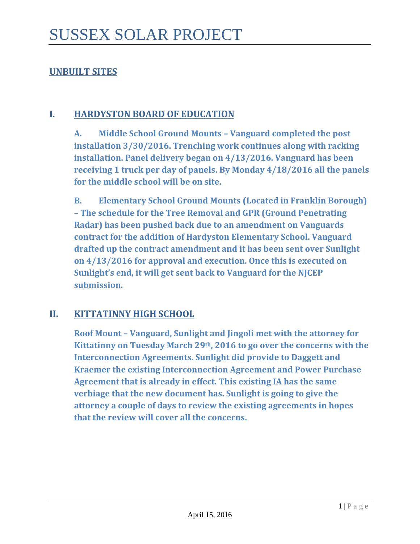# **UNBUILT SITES**

#### **I. HARDYSTON BOARD OF EDUCATION**

**A. Middle School Ground Mounts – Vanguard completed the post installation 3/30/2016. Trenching work continues along with racking installation. Panel delivery began on 4/13/2016. Vanguard has been receiving 1 truck per day of panels. By Monday 4/18/2016 all the panels for the middle school will be on site.** 

**B. Elementary School Ground Mounts (Located in Franklin Borough) – The schedule for the Tree Removal and GPR (Ground Penetrating Radar) has been pushed back due to an amendment on Vanguards contract for the addition of Hardyston Elementary School. Vanguard drafted up the contract amendment and it has been sent over Sunlight on 4/13/2016 for approval and execution. Once this is executed on Sunlight's end, it will get sent back to Vanguard for the NJCEP submission.** 

### **II. KITTATINNY HIGH SCHOOL**

**Roof Mount – Vanguard, Sunlight and Jingoli met with the attorney for Kittatinny on Tuesday March 29th, 2016 to go over the concerns with the Interconnection Agreements. Sunlight did provide to Daggett and Kraemer the existing Interconnection Agreement and Power Purchase Agreement that is already in effect. This existing IA has the same verbiage that the new document has. Sunlight is going to give the attorney a couple of days to review the existing agreements in hopes that the review will cover all the concerns.**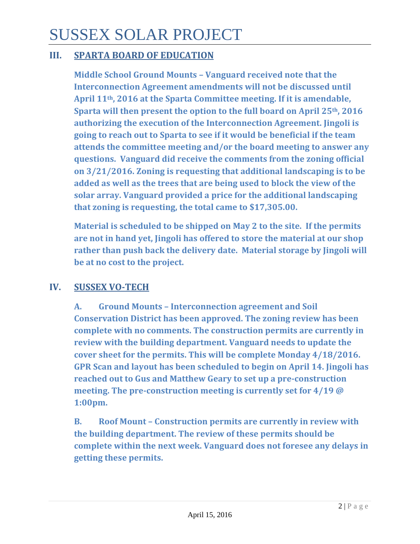# SUSSEX SOLAR PROJECT

# **III. SPARTA BOARD OF EDUCATION**

**Middle School Ground Mounts – Vanguard received note that the Interconnection Agreement amendments will not be discussed until April 11th, 2016 at the Sparta Committee meeting. If it is amendable, Sparta will then present the option to the full board on April 25th, 2016 authorizing the execution of the Interconnection Agreement. Jingoli is going to reach out to Sparta to see if it would be beneficial if the team attends the committee meeting and/or the board meeting to answer any questions. Vanguard did receive the comments from the zoning official on 3/21/2016. Zoning is requesting that additional landscaping is to be added as well as the trees that are being used to block the view of the solar array. Vanguard provided a price for the additional landscaping that zoning is requesting, the total came to \$17,305.00.**

**Material is scheduled to be shipped on May 2 to the site. If the permits are not in hand yet, Jingoli has offered to store the material at our shop rather than push back the delivery date. Material storage by Jingoli will be at no cost to the project.**

### **IV. SUSSEX VO-TECH**

**A. Ground Mounts – Interconnection agreement and Soil Conservation District has been approved. The zoning review has been complete with no comments. The construction permits are currently in review with the building department. Vanguard needs to update the cover sheet for the permits. This will be complete Monday 4/18/2016. GPR Scan and layout has been scheduled to begin on April 14. Jingoli has reached out to Gus and Matthew Geary to set up a pre-construction meeting. The pre-construction meeting is currently set for 4/19 @ 1:00pm.** 

**B. Roof Mount – Construction permits are currently in review with the building department. The review of these permits should be complete within the next week. Vanguard does not foresee any delays in getting these permits.**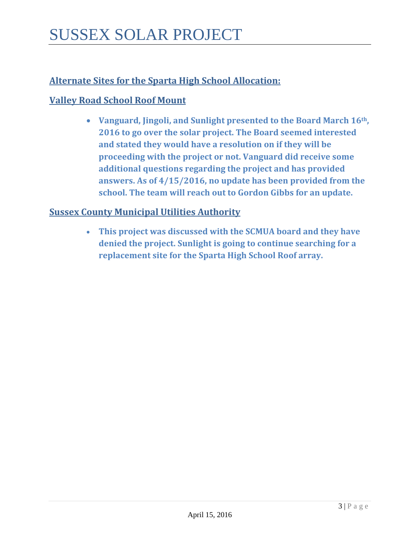# **Alternate Sites for the Sparta High School Allocation:**

# **Valley Road School Roof Mount**

• **Vanguard, Jingoli, and Sunlight presented to the Board March 16th, 2016 to go over the solar project. The Board seemed interested and stated they would have a resolution on if they will be proceeding with the project or not. Vanguard did receive some additional questions regarding the project and has provided answers. As of 4/15/2016, no update has been provided from the school. The team will reach out to Gordon Gibbs for an update.** 

### **Sussex County Municipal Utilities Authority**

• **This project was discussed with the SCMUA board and they have denied the project. Sunlight is going to continue searching for a replacement site for the Sparta High School Roof array.**